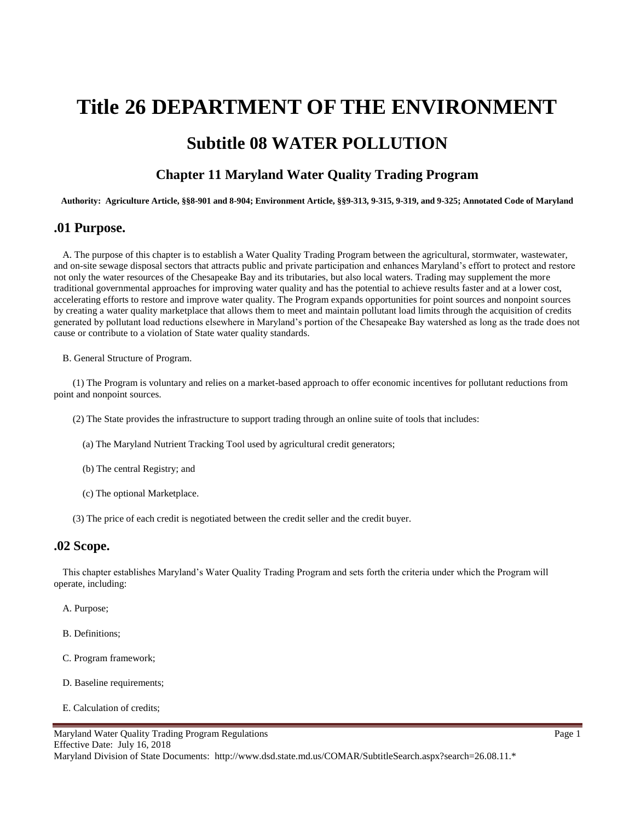# **Title 26 DEPARTMENT OF THE ENVIRONMENT Subtitle 08 WATER POLLUTION**

# **Chapter 11 Maryland Water Quality Trading Program**

**Authority: Agriculture Article, §§8-901 and 8-904; Environment Article, §§9-313, 9-315, 9-319, and 9-325; Annotated Code of Maryland**

#### **.01 Purpose.**

A. The purpose of this chapter is to establish a Water Quality Trading Program between the agricultural, stormwater, wastewater, and on-site sewage disposal sectors that attracts public and private participation and enhances Maryland's effort to protect and restore not only the water resources of the Chesapeake Bay and its tributaries, but also local waters. Trading may supplement the more traditional governmental approaches for improving water quality and has the potential to achieve results faster and at a lower cost, accelerating efforts to restore and improve water quality. The Program expands opportunities for point sources and nonpoint sources by creating a water quality marketplace that allows them to meet and maintain pollutant load limits through the acquisition of credits generated by pollutant load reductions elsewhere in Maryland's portion of the Chesapeake Bay watershed as long as the trade does not cause or contribute to a violation of State water quality standards.

B. General Structure of Program.

(1) The Program is voluntary and relies on a market-based approach to offer economic incentives for pollutant reductions from point and nonpoint sources.

(2) The State provides the infrastructure to support trading through an online suite of tools that includes:

- (a) The Maryland Nutrient Tracking Tool used by agricultural credit generators;
- (b) The central Registry; and
- (c) The optional Marketplace.
- (3) The price of each credit is negotiated between the credit seller and the credit buyer.

#### **.02 Scope.**

This chapter establishes Maryland's Water Quality Trading Program and sets forth the criteria under which the Program will operate, including:

- A. Purpose;
- B. Definitions;
- C. Program framework;
- D. Baseline requirements;
- E. Calculation of credits;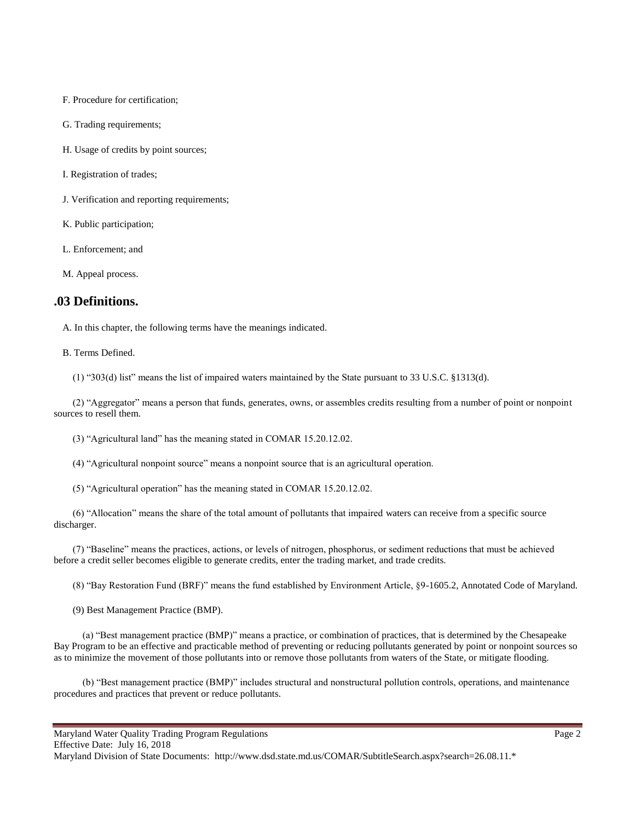F. Procedure for certification;

G. Trading requirements;

H. Usage of credits by point sources;

I. Registration of trades;

J. Verification and reporting requirements;

K. Public participation;

L. Enforcement; and

M. Appeal process.

#### **.03 Definitions.**

A. In this chapter, the following terms have the meanings indicated.

B. Terms Defined.

(1) "303(d) list" means the list of impaired waters maintained by the State pursuant to 33 U.S.C. §1313(d).

(2) "Aggregator" means a person that funds, generates, owns, or assembles credits resulting from a number of point or nonpoint sources to resell them.

(3) "Agricultural land" has the meaning stated in COMAR 15.20.12.02.

(4) "Agricultural nonpoint source" means a nonpoint source that is an agricultural operation.

(5) "Agricultural operation" has the meaning stated in COMAR 15.20.12.02.

(6) "Allocation" means the share of the total amount of pollutants that impaired waters can receive from a specific source discharger.

(7) "Baseline" means the practices, actions, or levels of nitrogen, phosphorus, or sediment reductions that must be achieved before a credit seller becomes eligible to generate credits, enter the trading market, and trade credits.

(8) "Bay Restoration Fund (BRF)" means the fund established by Environment Article, §9-1605.2, Annotated Code of Maryland.

(9) Best Management Practice (BMP).

(a) "Best management practice (BMP)" means a practice, or combination of practices, that is determined by the Chesapeake Bay Program to be an effective and practicable method of preventing or reducing pollutants generated by point or nonpoint sources so as to minimize the movement of those pollutants into or remove those pollutants from waters of the State, or mitigate flooding.

(b) "Best management practice (BMP)" includes structural and nonstructural pollution controls, operations, and maintenance procedures and practices that prevent or reduce pollutants.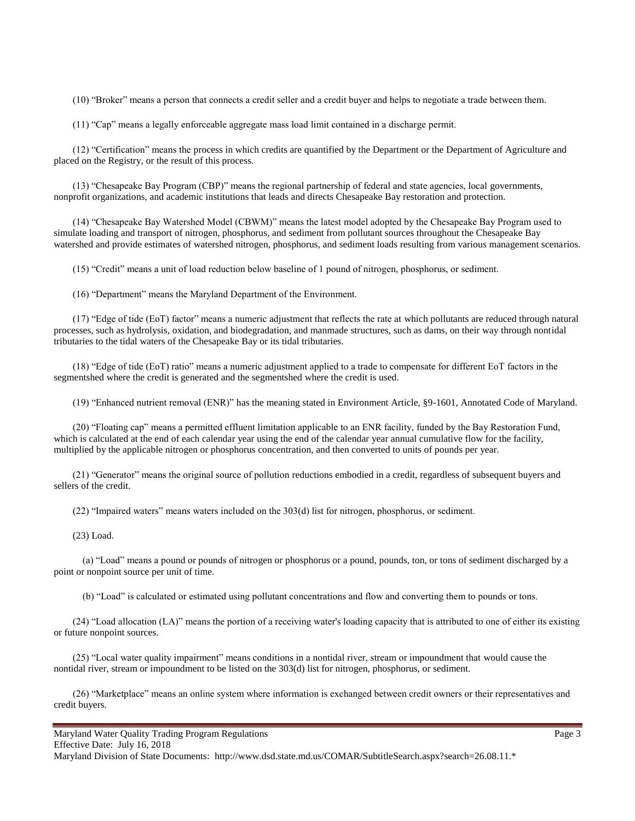(10) "Broker" means a person that connects a credit seller and a credit buyer and helps to negotiate a trade between them.

(11) "Cap" means a legally enforceable aggregate mass load limit contained in a discharge permit.

(12) "Certification" means the process in which credits are quantified by the Department or the Department of Agriculture and placed on the Registry, or the result of this process.

(13) "Chesapeake Bay Program (CBP)" means the regional partnership of federal and state agencies, local governments, nonprofit organizations, and academic institutions that leads and directs Chesapeake Bay restoration and protection.

(14) "Chesapeake Bay Watershed Model (CBWM)" means the latest model adopted by the Chesapeake Bay Program used to simulate loading and transport of nitrogen, phosphorus, and sediment from pollutant sources throughout the Chesapeake Bay watershed and provide estimates of watershed nitrogen, phosphorus, and sediment loads resulting from various management scenarios.

(15) "Credit" means a unit of load reduction below baseline of 1 pound of nitrogen, phosphorus, or sediment.

(16) "Department" means the Maryland Department of the Environment.

(17) "Edge of tide (EoT) factor" means a numeric adjustment that reflects the rate at which pollutants are reduced through natural processes, such as hydrolysis, oxidation, and biodegradation, and manmade structures, such as dams, on their way through nontidal tributaries to the tidal waters of the Chesapeake Bay or its tidal tributaries.

(18) "Edge of tide (EoT) ratio" means a numeric adjustment applied to a trade to compensate for different EoT factors in the segmentshed where the credit is generated and the segmentshed where the credit is used.

(19) "Enhanced nutrient removal (ENR)" has the meaning stated in Environment Article, §9-1601, Annotated Code of Maryland.

(20) "Floating cap" means a permitted effluent limitation applicable to an ENR facility, funded by the Bay Restoration Fund, which is calculated at the end of each calendar year using the end of the calendar year annual cumulative flow for the facility, multiplied by the applicable nitrogen or phosphorus concentration, and then converted to units of pounds per year.

(21) "Generator" means the original source of pollution reductions embodied in a credit, regardless of subsequent buyers and sellers of the credit.

(22) "Impaired waters" means waters included on the 303(d) list for nitrogen, phosphorus, or sediment.

(23) Load.

(a) "Load" means a pound or pounds of nitrogen or phosphorus or a pound, pounds, ton, or tons of sediment discharged by a point or nonpoint source per unit of time.

(b) "Load" is calculated or estimated using pollutant concentrations and flow and converting them to pounds or tons.

(24) "Load allocation (LA)" means the portion of a receiving water's loading capacity that is attributed to one of either its existing or future nonpoint sources.

(25) "Local water quality impairment" means conditions in a nontidal river, stream or impoundment that would cause the nontidal river, stream or impoundment to be listed on the 303(d) list for nitrogen, phosphorus, or sediment.

(26) "Marketplace" means an online system where information is exchanged between credit owners or their representatives and credit buyers.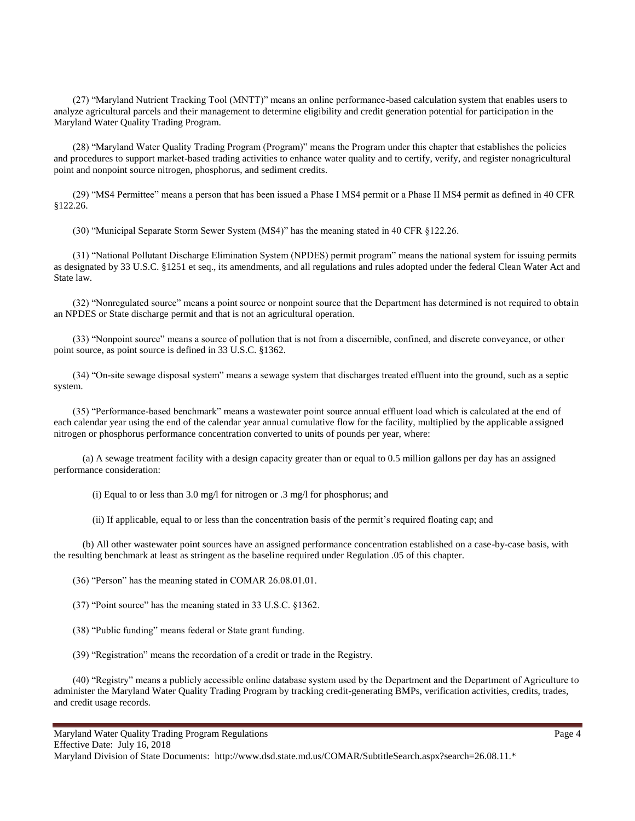(27) "Maryland Nutrient Tracking Tool (MNTT)" means an online performance-based calculation system that enables users to analyze agricultural parcels and their management to determine eligibility and credit generation potential for participation in the Maryland Water Quality Trading Program.

(28) "Maryland Water Quality Trading Program (Program)" means the Program under this chapter that establishes the policies and procedures to support market-based trading activities to enhance water quality and to certify, verify, and register nonagricultural point and nonpoint source nitrogen, phosphorus, and sediment credits.

(29) "MS4 Permittee" means a person that has been issued a Phase I MS4 permit or a Phase II MS4 permit as defined in 40 CFR §122.26.

(30) "Municipal Separate Storm Sewer System (MS4)" has the meaning stated in 40 CFR §122.26.

(31) "National Pollutant Discharge Elimination System (NPDES) permit program" means the national system for issuing permits as designated by 33 U.S.C. §1251 et seq., its amendments, and all regulations and rules adopted under the federal Clean Water Act and State law.

(32) "Nonregulated source" means a point source or nonpoint source that the Department has determined is not required to obtain an NPDES or State discharge permit and that is not an agricultural operation.

(33) "Nonpoint source" means a source of pollution that is not from a discernible, confined, and discrete conveyance, or other point source, as point source is defined in 33 U.S.C. §1362.

(34) "On-site sewage disposal system" means a sewage system that discharges treated effluent into the ground, such as a septic system.

(35) "Performance-based benchmark" means a wastewater point source annual effluent load which is calculated at the end of each calendar year using the end of the calendar year annual cumulative flow for the facility, multiplied by the applicable assigned nitrogen or phosphorus performance concentration converted to units of pounds per year, where:

(a) A sewage treatment facility with a design capacity greater than or equal to 0.5 million gallons per day has an assigned performance consideration:

(i) Equal to or less than 3.0 mg/l for nitrogen or .3 mg/l for phosphorus; and

(ii) If applicable, equal to or less than the concentration basis of the permit's required floating cap; and

(b) All other wastewater point sources have an assigned performance concentration established on a case-by-case basis, with the resulting benchmark at least as stringent as the baseline required under Regulation .05 of this chapter.

(36) "Person" has the meaning stated in COMAR 26.08.01.01.

(37) "Point source" has the meaning stated in 33 U.S.C. §1362.

(38) "Public funding" means federal or State grant funding.

(39) "Registration" means the recordation of a credit or trade in the Registry.

(40) "Registry" means a publicly accessible online database system used by the Department and the Department of Agriculture to administer the Maryland Water Quality Trading Program by tracking credit-generating BMPs, verification activities, credits, trades, and credit usage records.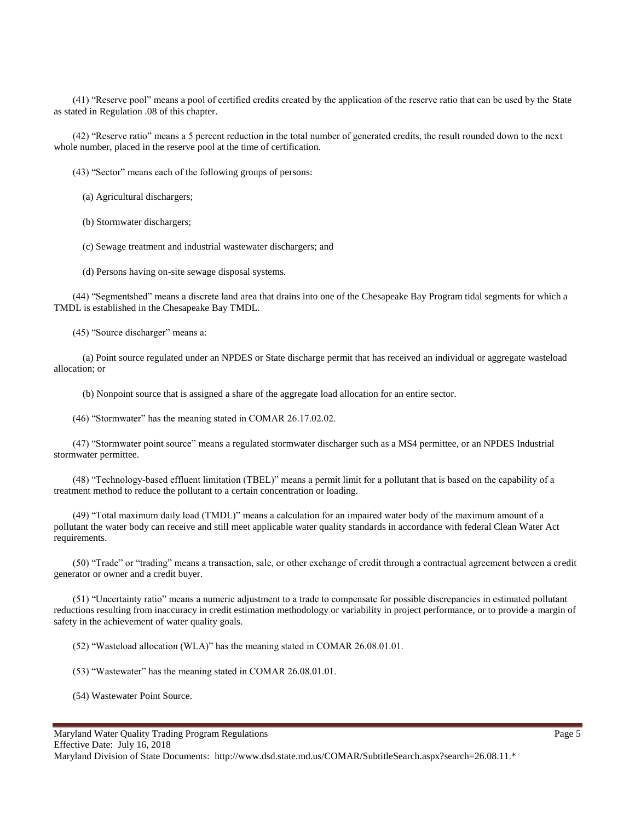(41) "Reserve pool" means a pool of certified credits created by the application of the reserve ratio that can be used by the State as stated in Regulation .08 of this chapter.

(42) "Reserve ratio" means a 5 percent reduction in the total number of generated credits, the result rounded down to the next whole number, placed in the reserve pool at the time of certification.

(43) "Sector" means each of the following groups of persons:

(a) Agricultural dischargers;

(b) Stormwater dischargers;

(c) Sewage treatment and industrial wastewater dischargers; and

(d) Persons having on-site sewage disposal systems.

(44) "Segmentshed" means a discrete land area that drains into one of the Chesapeake Bay Program tidal segments for which a TMDL is established in the Chesapeake Bay TMDL.

(45) "Source discharger" means a:

(a) Point source regulated under an NPDES or State discharge permit that has received an individual or aggregate wasteload allocation; or

(b) Nonpoint source that is assigned a share of the aggregate load allocation for an entire sector.

(46) "Stormwater" has the meaning stated in COMAR 26.17.02.02.

(47) "Stormwater point source" means a regulated stormwater discharger such as a MS4 permittee, or an NPDES Industrial stormwater permittee.

(48) "Technology-based effluent limitation (TBEL)" means a permit limit for a pollutant that is based on the capability of a treatment method to reduce the pollutant to a certain concentration or loading.

(49) "Total maximum daily load (TMDL)" means a calculation for an impaired water body of the maximum amount of a pollutant the water body can receive and still meet applicable water quality standards in accordance with federal Clean Water Act requirements.

(50) "Trade" or "trading" means a transaction, sale, or other exchange of credit through a contractual agreement between a credit generator or owner and a credit buyer.

(51) "Uncertainty ratio" means a numeric adjustment to a trade to compensate for possible discrepancies in estimated pollutant reductions resulting from inaccuracy in credit estimation methodology or variability in project performance, or to provide a margin of safety in the achievement of water quality goals.

(52) "Wasteload allocation (WLA)" has the meaning stated in COMAR 26.08.01.01.

(53) "Wastewater" has the meaning stated in COMAR 26.08.01.01.

(54) Wastewater Point Source.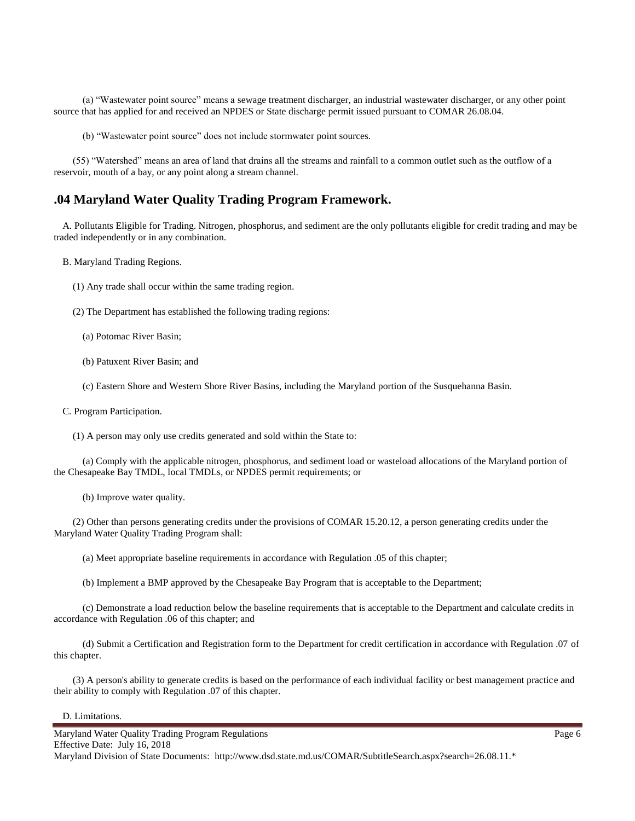(a) "Wastewater point source" means a sewage treatment discharger, an industrial wastewater discharger, or any other point source that has applied for and received an NPDES or State discharge permit issued pursuant to COMAR 26.08.04.

(b) "Wastewater point source" does not include stormwater point sources.

(55) "Watershed" means an area of land that drains all the streams and rainfall to a common outlet such as the outflow of a reservoir, mouth of a bay, or any point along a stream channel.

#### **.04 Maryland Water Quality Trading Program Framework.**

A. Pollutants Eligible for Trading. Nitrogen, phosphorus, and sediment are the only pollutants eligible for credit trading and may be traded independently or in any combination.

B. Maryland Trading Regions.

- (1) Any trade shall occur within the same trading region.
- (2) The Department has established the following trading regions:
	- (a) Potomac River Basin;
	- (b) Patuxent River Basin; and
	- (c) Eastern Shore and Western Shore River Basins, including the Maryland portion of the Susquehanna Basin.
- C. Program Participation.
	- (1) A person may only use credits generated and sold within the State to:

(a) Comply with the applicable nitrogen, phosphorus, and sediment load or wasteload allocations of the Maryland portion of the Chesapeake Bay TMDL, local TMDLs, or NPDES permit requirements; or

(b) Improve water quality.

(2) Other than persons generating credits under the provisions of COMAR 15.20.12, a person generating credits under the Maryland Water Quality Trading Program shall:

- (a) Meet appropriate baseline requirements in accordance with Regulation .05 of this chapter;
- (b) Implement a BMP approved by the Chesapeake Bay Program that is acceptable to the Department;

(c) Demonstrate a load reduction below the baseline requirements that is acceptable to the Department and calculate credits in accordance with Regulation .06 of this chapter; and

(d) Submit a Certification and Registration form to the Department for credit certification in accordance with Regulation .07 of this chapter.

(3) A person's ability to generate credits is based on the performance of each individual facility or best management practice and their ability to comply with Regulation .07 of this chapter.

#### D. Limitations.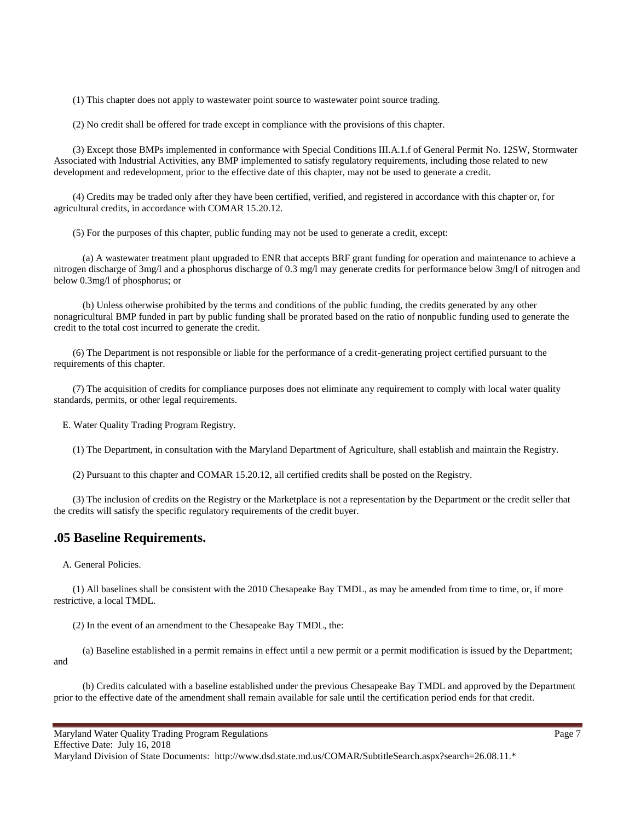(1) This chapter does not apply to wastewater point source to wastewater point source trading.

(2) No credit shall be offered for trade except in compliance with the provisions of this chapter.

(3) Except those BMPs implemented in conformance with Special Conditions III.A.1.f of General Permit No. 12SW, Stormwater Associated with Industrial Activities, any BMP implemented to satisfy regulatory requirements, including those related to new development and redevelopment, prior to the effective date of this chapter, may not be used to generate a credit.

(4) Credits may be traded only after they have been certified, verified, and registered in accordance with this chapter or, for agricultural credits, in accordance with COMAR 15.20.12.

(5) For the purposes of this chapter, public funding may not be used to generate a credit, except:

(a) A wastewater treatment plant upgraded to ENR that accepts BRF grant funding for operation and maintenance to achieve a nitrogen discharge of 3mg/l and a phosphorus discharge of 0.3 mg/l may generate credits for performance below 3mg/l of nitrogen and below 0.3mg/l of phosphorus; or

(b) Unless otherwise prohibited by the terms and conditions of the public funding, the credits generated by any other nonagricultural BMP funded in part by public funding shall be prorated based on the ratio of nonpublic funding used to generate the credit to the total cost incurred to generate the credit.

(6) The Department is not responsible or liable for the performance of a credit-generating project certified pursuant to the requirements of this chapter.

(7) The acquisition of credits for compliance purposes does not eliminate any requirement to comply with local water quality standards, permits, or other legal requirements.

E. Water Quality Trading Program Registry.

(1) The Department, in consultation with the Maryland Department of Agriculture, shall establish and maintain the Registry.

(2) Pursuant to this chapter and COMAR 15.20.12, all certified credits shall be posted on the Registry.

(3) The inclusion of credits on the Registry or the Marketplace is not a representation by the Department or the credit seller that the credits will satisfy the specific regulatory requirements of the credit buyer.

#### **.05 Baseline Requirements.**

A. General Policies.

(1) All baselines shall be consistent with the 2010 Chesapeake Bay TMDL, as may be amended from time to time, or, if more restrictive, a local TMDL.

(2) In the event of an amendment to the Chesapeake Bay TMDL, the:

(a) Baseline established in a permit remains in effect until a new permit or a permit modification is issued by the Department; and

(b) Credits calculated with a baseline established under the previous Chesapeake Bay TMDL and approved by the Department prior to the effective date of the amendment shall remain available for sale until the certification period ends for that credit.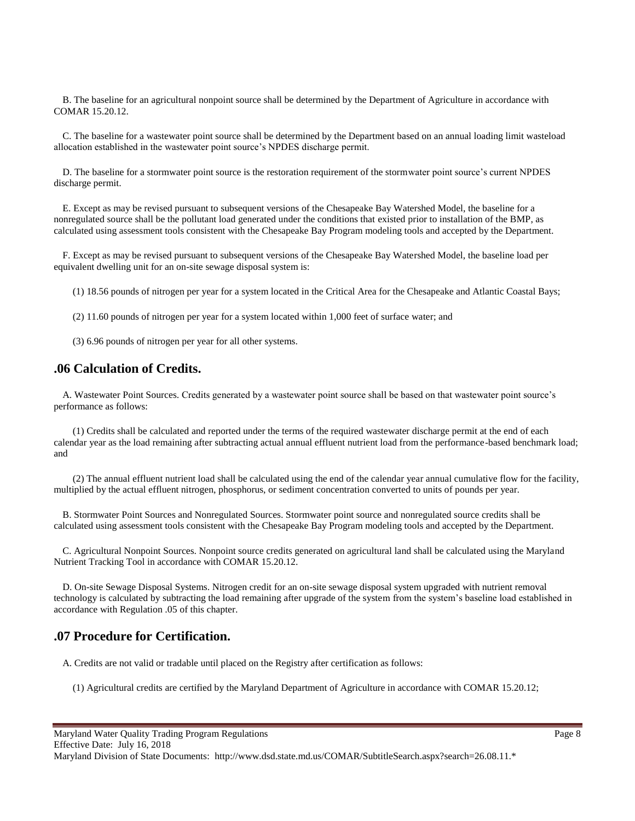B. The baseline for an agricultural nonpoint source shall be determined by the Department of Agriculture in accordance with COMAR 15.20.12.

C. The baseline for a wastewater point source shall be determined by the Department based on an annual loading limit wasteload allocation established in the wastewater point source's NPDES discharge permit.

D. The baseline for a stormwater point source is the restoration requirement of the stormwater point source's current NPDES discharge permit.

E. Except as may be revised pursuant to subsequent versions of the Chesapeake Bay Watershed Model, the baseline for a nonregulated source shall be the pollutant load generated under the conditions that existed prior to installation of the BMP, as calculated using assessment tools consistent with the Chesapeake Bay Program modeling tools and accepted by the Department.

F. Except as may be revised pursuant to subsequent versions of the Chesapeake Bay Watershed Model, the baseline load per equivalent dwelling unit for an on-site sewage disposal system is:

(1) 18.56 pounds of nitrogen per year for a system located in the Critical Area for the Chesapeake and Atlantic Coastal Bays;

(2) 11.60 pounds of nitrogen per year for a system located within 1,000 feet of surface water; and

(3) 6.96 pounds of nitrogen per year for all other systems.

#### **.06 Calculation of Credits.**

A. Wastewater Point Sources. Credits generated by a wastewater point source shall be based on that wastewater point source's performance as follows:

(1) Credits shall be calculated and reported under the terms of the required wastewater discharge permit at the end of each calendar year as the load remaining after subtracting actual annual effluent nutrient load from the performance-based benchmark load; and

(2) The annual effluent nutrient load shall be calculated using the end of the calendar year annual cumulative flow for the facility, multiplied by the actual effluent nitrogen, phosphorus, or sediment concentration converted to units of pounds per year.

B. Stormwater Point Sources and Nonregulated Sources. Stormwater point source and nonregulated source credits shall be calculated using assessment tools consistent with the Chesapeake Bay Program modeling tools and accepted by the Department.

C. Agricultural Nonpoint Sources. Nonpoint source credits generated on agricultural land shall be calculated using the Maryland Nutrient Tracking Tool in accordance with COMAR 15.20.12.

D. On-site Sewage Disposal Systems. Nitrogen credit for an on-site sewage disposal system upgraded with nutrient removal technology is calculated by subtracting the load remaining after upgrade of the system from the system's baseline load established in accordance with Regulation .05 of this chapter.

#### **.07 Procedure for Certification.**

A. Credits are not valid or tradable until placed on the Registry after certification as follows:

(1) Agricultural credits are certified by the Maryland Department of Agriculture in accordance with COMAR 15.20.12;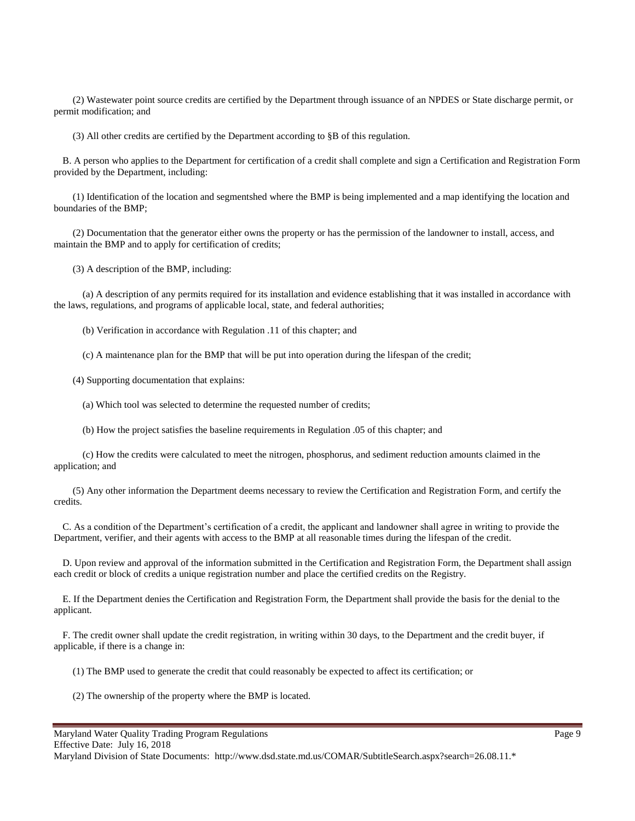(2) Wastewater point source credits are certified by the Department through issuance of an NPDES or State discharge permit, or permit modification; and

(3) All other credits are certified by the Department according to §B of this regulation.

B. A person who applies to the Department for certification of a credit shall complete and sign a Certification and Registration Form provided by the Department, including:

(1) Identification of the location and segmentshed where the BMP is being implemented and a map identifying the location and boundaries of the BMP;

(2) Documentation that the generator either owns the property or has the permission of the landowner to install, access, and maintain the BMP and to apply for certification of credits;

(3) A description of the BMP, including:

(a) A description of any permits required for its installation and evidence establishing that it was installed in accordance with the laws, regulations, and programs of applicable local, state, and federal authorities;

(b) Verification in accordance with Regulation .11 of this chapter; and

(c) A maintenance plan for the BMP that will be put into operation during the lifespan of the credit;

(4) Supporting documentation that explains:

(a) Which tool was selected to determine the requested number of credits;

(b) How the project satisfies the baseline requirements in Regulation .05 of this chapter; and

(c) How the credits were calculated to meet the nitrogen, phosphorus, and sediment reduction amounts claimed in the application; and

(5) Any other information the Department deems necessary to review the Certification and Registration Form, and certify the credits.

C. As a condition of the Department's certification of a credit, the applicant and landowner shall agree in writing to provide the Department, verifier, and their agents with access to the BMP at all reasonable times during the lifespan of the credit.

D. Upon review and approval of the information submitted in the Certification and Registration Form, the Department shall assign each credit or block of credits a unique registration number and place the certified credits on the Registry.

E. If the Department denies the Certification and Registration Form, the Department shall provide the basis for the denial to the applicant.

F. The credit owner shall update the credit registration, in writing within 30 days, to the Department and the credit buyer, if applicable, if there is a change in:

(1) The BMP used to generate the credit that could reasonably be expected to affect its certification; or

(2) The ownership of the property where the BMP is located.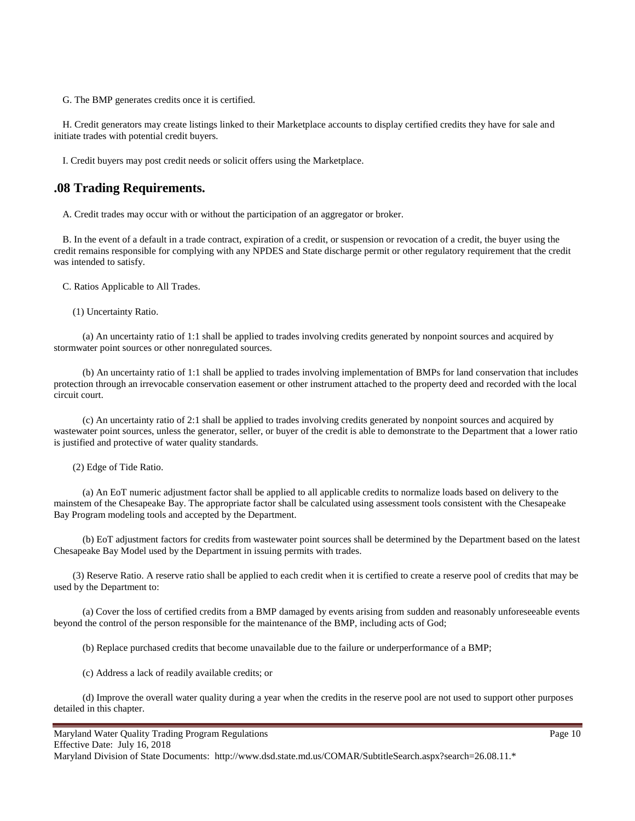G. The BMP generates credits once it is certified.

H. Credit generators may create listings linked to their Marketplace accounts to display certified credits they have for sale and initiate trades with potential credit buyers.

I. Credit buyers may post credit needs or solicit offers using the Marketplace.

#### **.08 Trading Requirements.**

A. Credit trades may occur with or without the participation of an aggregator or broker.

B. In the event of a default in a trade contract, expiration of a credit, or suspension or revocation of a credit, the buyer using the credit remains responsible for complying with any NPDES and State discharge permit or other regulatory requirement that the credit was intended to satisfy.

C. Ratios Applicable to All Trades.

(1) Uncertainty Ratio.

(a) An uncertainty ratio of 1:1 shall be applied to trades involving credits generated by nonpoint sources and acquired by stormwater point sources or other nonregulated sources.

(b) An uncertainty ratio of 1:1 shall be applied to trades involving implementation of BMPs for land conservation that includes protection through an irrevocable conservation easement or other instrument attached to the property deed and recorded with the local circuit court.

(c) An uncertainty ratio of 2:1 shall be applied to trades involving credits generated by nonpoint sources and acquired by wastewater point sources, unless the generator, seller, or buyer of the credit is able to demonstrate to the Department that a lower ratio is justified and protective of water quality standards.

(2) Edge of Tide Ratio.

(a) An EoT numeric adjustment factor shall be applied to all applicable credits to normalize loads based on delivery to the mainstem of the Chesapeake Bay. The appropriate factor shall be calculated using assessment tools consistent with the Chesapeake Bay Program modeling tools and accepted by the Department.

(b) EoT adjustment factors for credits from wastewater point sources shall be determined by the Department based on the latest Chesapeake Bay Model used by the Department in issuing permits with trades.

(3) Reserve Ratio. A reserve ratio shall be applied to each credit when it is certified to create a reserve pool of credits that may be used by the Department to:

(a) Cover the loss of certified credits from a BMP damaged by events arising from sudden and reasonably unforeseeable events beyond the control of the person responsible for the maintenance of the BMP, including acts of God;

(b) Replace purchased credits that become unavailable due to the failure or underperformance of a BMP;

(c) Address a lack of readily available credits; or

(d) Improve the overall water quality during a year when the credits in the reserve pool are not used to support other purposes detailed in this chapter.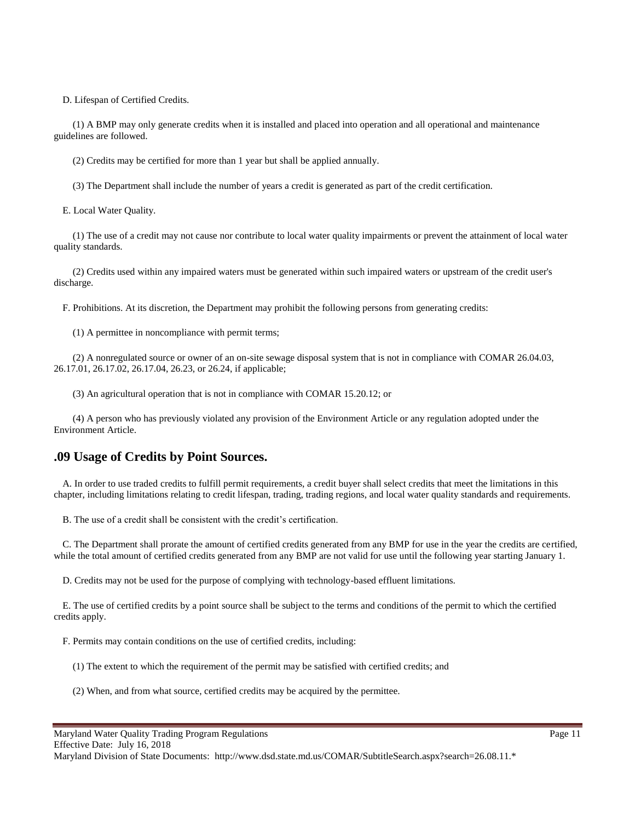D. Lifespan of Certified Credits.

(1) A BMP may only generate credits when it is installed and placed into operation and all operational and maintenance guidelines are followed.

(2) Credits may be certified for more than 1 year but shall be applied annually.

(3) The Department shall include the number of years a credit is generated as part of the credit certification.

E. Local Water Quality.

(1) The use of a credit may not cause nor contribute to local water quality impairments or prevent the attainment of local water quality standards.

(2) Credits used within any impaired waters must be generated within such impaired waters or upstream of the credit user's discharge.

F. Prohibitions. At its discretion, the Department may prohibit the following persons from generating credits:

(1) A permittee in noncompliance with permit terms;

(2) A nonregulated source or owner of an on-site sewage disposal system that is not in compliance with COMAR 26.04.03, 26.17.01, 26.17.02, 26.17.04, 26.23, or 26.24, if applicable;

(3) An agricultural operation that is not in compliance with COMAR 15.20.12; or

(4) A person who has previously violated any provision of the Environment Article or any regulation adopted under the Environment Article.

#### **.09 Usage of Credits by Point Sources.**

A. In order to use traded credits to fulfill permit requirements, a credit buyer shall select credits that meet the limitations in this chapter, including limitations relating to credit lifespan, trading, trading regions, and local water quality standards and requirements.

B. The use of a credit shall be consistent with the credit's certification.

C. The Department shall prorate the amount of certified credits generated from any BMP for use in the year the credits are certified, while the total amount of certified credits generated from any BMP are not valid for use until the following year starting January 1.

D. Credits may not be used for the purpose of complying with technology-based effluent limitations.

E. The use of certified credits by a point source shall be subject to the terms and conditions of the permit to which the certified credits apply.

F. Permits may contain conditions on the use of certified credits, including:

(1) The extent to which the requirement of the permit may be satisfied with certified credits; and

(2) When, and from what source, certified credits may be acquired by the permittee.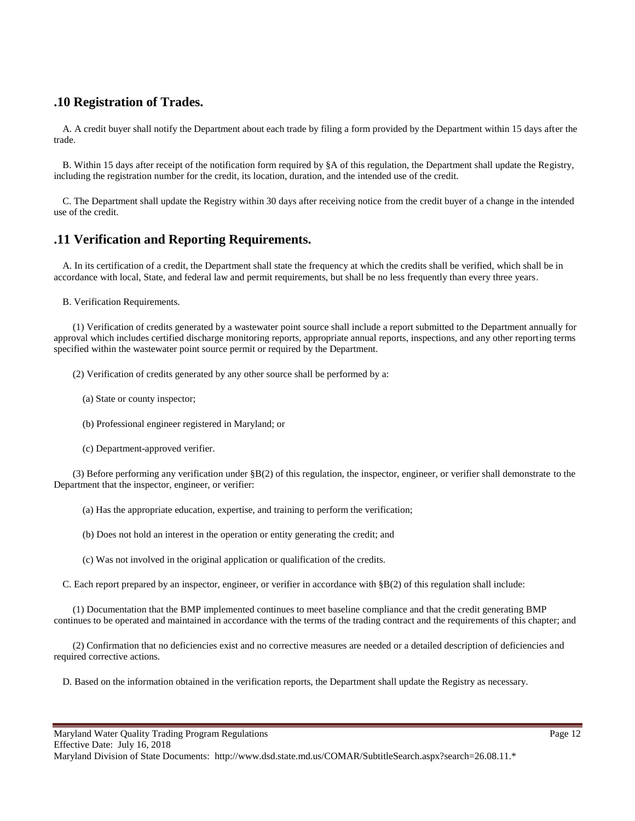## **.10 Registration of Trades.**

A. A credit buyer shall notify the Department about each trade by filing a form provided by the Department within 15 days after the trade.

B. Within 15 days after receipt of the notification form required by §A of this regulation, the Department shall update the Registry, including the registration number for the credit, its location, duration, and the intended use of the credit.

C. The Department shall update the Registry within 30 days after receiving notice from the credit buyer of a change in the intended use of the credit.

# **.11 Verification and Reporting Requirements.**

A. In its certification of a credit, the Department shall state the frequency at which the credits shall be verified, which shall be in accordance with local, State, and federal law and permit requirements, but shall be no less frequently than every three years.

B. Verification Requirements.

(1) Verification of credits generated by a wastewater point source shall include a report submitted to the Department annually for approval which includes certified discharge monitoring reports, appropriate annual reports, inspections, and any other reporting terms specified within the wastewater point source permit or required by the Department.

(2) Verification of credits generated by any other source shall be performed by a:

- (a) State or county inspector;
- (b) Professional engineer registered in Maryland; or
- (c) Department-approved verifier.

(3) Before performing any verification under §B(2) of this regulation, the inspector, engineer, or verifier shall demonstrate to the Department that the inspector, engineer, or verifier:

(a) Has the appropriate education, expertise, and training to perform the verification;

- (b) Does not hold an interest in the operation or entity generating the credit; and
- (c) Was not involved in the original application or qualification of the credits.

C. Each report prepared by an inspector, engineer, or verifier in accordance with §B(2) of this regulation shall include:

(1) Documentation that the BMP implemented continues to meet baseline compliance and that the credit generating BMP continues to be operated and maintained in accordance with the terms of the trading contract and the requirements of this chapter; and

(2) Confirmation that no deficiencies exist and no corrective measures are needed or a detailed description of deficiencies and required corrective actions.

D. Based on the information obtained in the verification reports, the Department shall update the Registry as necessary.